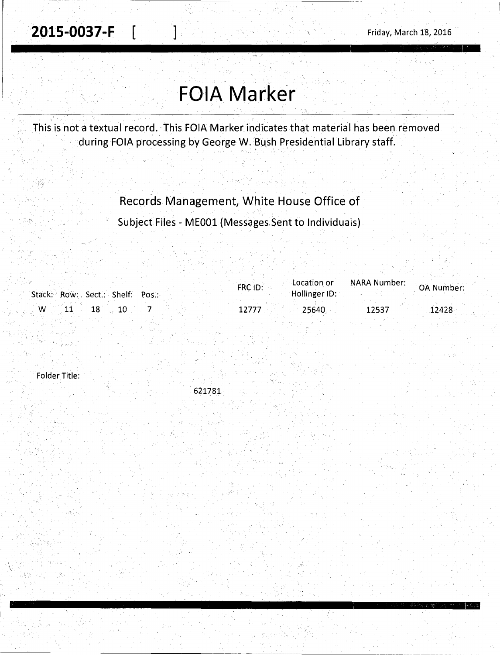# **FOIA Marker**

This is not a textual record. This FOIA Marker indicates that material has been removed during FOIA processing by George W. Bush Presidential Library staff.

Records Management, White House Office of

Subject Files - MEOOl (Messages.Sent to Individuals)

| Stack: Row: Sect.: Shelf: Pos.: | Location or<br>FRC ID:<br>Hollinger ID: | NARA Number: | OA Number: |
|---------------------------------|-----------------------------------------|--------------|------------|
| $\sim 1$ W<br>$11 \t 18$        | .25640                                  | 12537        | 12428      |

Folder Title:

621781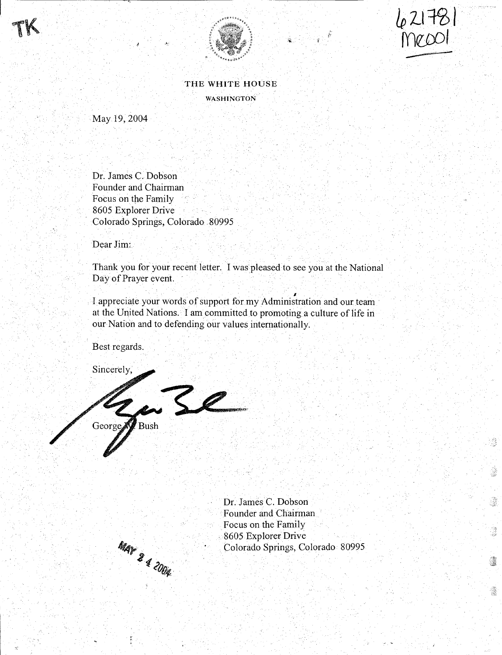





穆

ġ.

tä.

 $\mathbb{R}^2$ 

灢

ĝ.

THE WHITE HOUSE WASHINGTON

May19, 2004

Dr. James C. Dobson Founder and Chairman Focus on the Family 8605 Explorer Drive Colorado Springs, Colorado . 80995

Dear Jim:

Thank you for your recent letter. I was pleased to see you at the National Day of Prayer event.

I I appreciate your words of support for my Administration and our team at the United Nations. I am committed to promoting a culture of life in our Nation and to defending our values internationally.

Best regards.

Sincerely,

aze  $B$ ush George.



Dr. James C. Dobson Founder and Chairman Focus on the Family . 8605 Explorer Drive Colorado Springs, Colorado 80995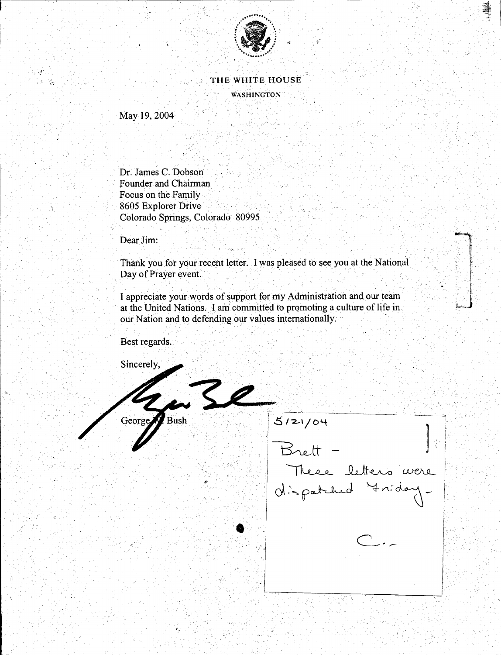

### THE WHITE HOUSE

**WASHINGTON** 

May 19, 2004

Dr. James C. Dobson Founder and Chairman Focus on the Family 8605 Explorer Drive Colorado Springs, Colorado 80995

Dear Jim:

Thank you for your recent letter. I was pleased to see you at the National Day of Prayer event.

I appreciate your words of support for my Administration and our team at the United Nations. I am committed to promoting a culture of life in our Nation and to defending our values internationally.

 $72$ 

Best regards.

George Bush

Sincerely,

 $5121/04$ Brett These letters were Mispatched Ariday-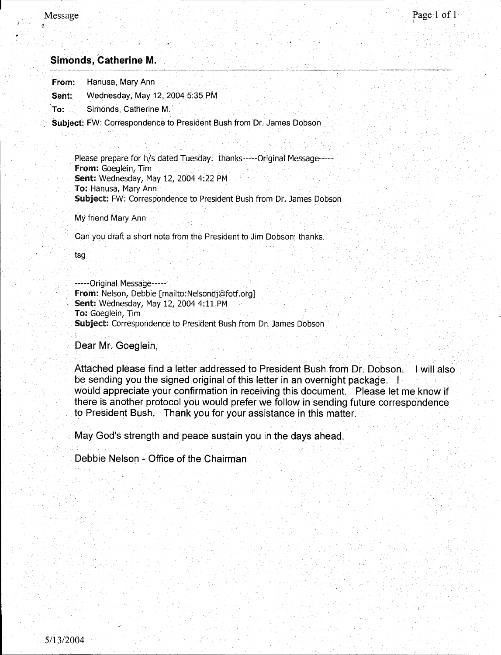r

## *)*  **Simonds, Catherine M.**

From: Hanusa, Mary Ann

Sent: Wednesday, May 12, 2004 5:35 PM

To: Simonds, Catherine M.

Subject: FW: Correspondence to President Bush from Dr. James Dobson

Please prepare for h/s dated Tuesday. thanks-----Original Message----from: Goeglein, Tim Sent: Wednesday, May 12, 2004 4:22 PM To: Hanusa, Mary Ann Subject: FW: Correspondence to President Bush from Dr. James Dobson

My friend Mary Ann

Can you draft a short note from the President to Jim Dobson; thanks.

tsg

-----Original Message---- from: Nelson, Debbie [mailto:Nelsondj@fotf.org] Sent: Wednesday, May 12, 2004 4: 11 PM To: Goeglein, Tim Subject: Correspondence to President Bush from Dr. James Dobson

Dear Mr. Goeglein,

Attached please find a letter addressed to President Bush from Dr. Dobson. I will also be sending you the signed original of this letter in an overnight package. I would appreciate your confirmation in receiving this document. Please let me know if there is another protocol you would prefer we follow in sending future correspondence to President Bush. Thank you for your assistance in this matter.

. ;

May God's strength and peace sustain you in the days ahead.

Debbie Nelson - Office of the Chairman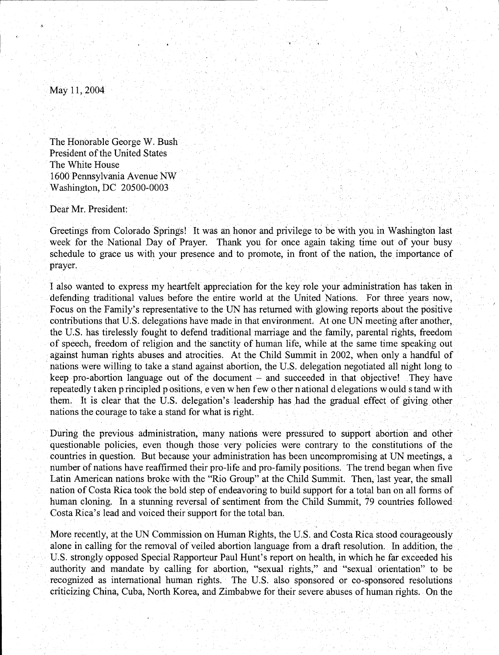May 11,2004

The Honorable George W. Bush President of the United States The White House 1600 Pennsylvania Avenue Nw Washington, DC 20500-0003

Dear Mr. President:

Greetings from Colorado Springs! It was an honor and privilege to be with you in Washington last week for the National Day of Prayer. Thank you for once again taking time out of your busy schedule to grace us With your presence and to promote, in front of the nation, the importance of prayer.

I also wanted to express my heartfelt appreciation for the key role your administration has taken in defending traditional values before the entire world at the United Nations. For three years now, Focus on the Family's representative to the UN has returned with glowing reports about the positive contributions that U.S. delegations have made in that environment. Atone UN meeting after another, the U.S. has tirelessly fought to defend traditional marriage and the family, parental rights, freedom of speech, freedom of religion and the sanctity of human life, while at the Same time speaking out against human rights abuses and atrocities. At the Child Summit in 2002, when only a handful of nations were willing to take a stand against abortion, the U.S. delegation negotiated all night long to keep pro-abortion language out of the document  $-$  and succeeded in that objective! They have repeatedly taken principled positions, even when few other national delegations would stand with them. It is clear that the U.S. delegation's leadership has had the gradual effect of giving other nations the courage to take a stand for what is right.

During the previous administration, many nations were pressured to support abortion and other questionable policies, even though· those very policies were contrary to the constitutions of the countries in question. But because your administration has been uncompromising at UN meetings, a number of nations have reaffirmed their pro-life and pro-family positions. The trend began when five Latin American nations broke with the "Rio Group" at the Child Summit. Then, last year, the small nation of Costa Rica took the bold step of endeavoring to build support for a total ban on all forms of human cloning. In a stunning reversal of sentiment from the Child Summit, 79 countries followed Costa Rica's lead and voiced their support for the total ban.

More recently, at the UN Commission on Human Rights, the U.S. and Costa Rica stood courageously alone in calling for the removal of veiled abortion language from a draft resolution. In addition, the U.S. strongly opposed Special Rapporteur Paul Hunt's report on health, in which he far exceeded his authority and mandate by calling for abortion, "sexual rights," and "sexual orientation" to be recognized as international human rights. The U.S. also sponsored or co-sponsored resolutions criticizing China, Cuba, North Korea, and Zimbabwe for their severe abuses of human rights. On the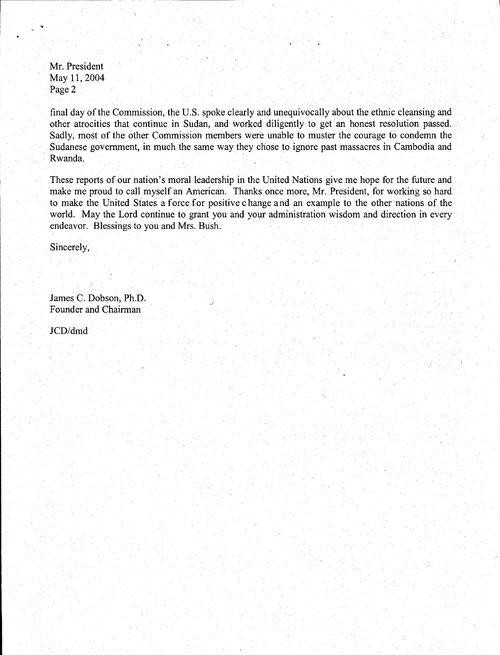Mr. President May 11, 2004 Page 2

i----------------

I am an an an an A

I

final day of the Commission, the U.S. spoke clearly and unequivocally about the ethnic cleansing and other atrocities that continue in Sudan, and worked diligently to get an honest resolution passed. Sadly, most of the other Commission members were unable to muster the courage to condemn the Sudanese government, in much the same way they chose to ignore past massacres in Cambodia and Rwanda.

These reports of our nation's moral leadership in the United Nations give me hope for the future and make me proud to call myself an American. Thanks once more, Mr. President, for working so hard to make the United States a force for positive change and an example to the other nations of the world. May the Lord continue to grant you and your administration wisdom and direction in every endeavor. Blessings to you and Mrs. Bush.

Sincerely,

James C. Dobson, Ph.D. Founder and Chairman

JCD/dmd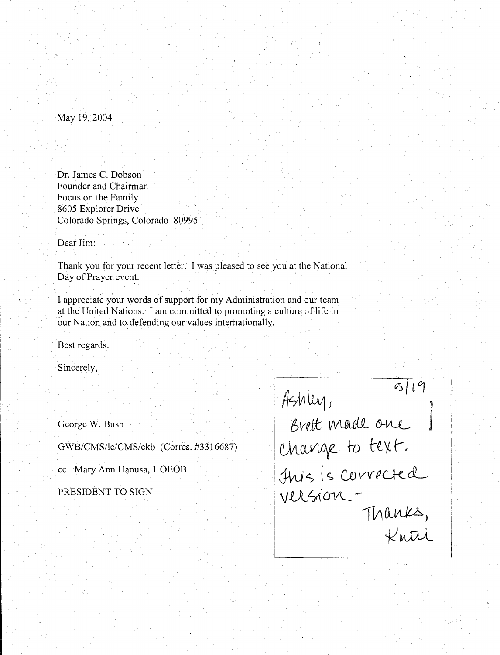May 19, 2004

Dr. James C. Dobson Founder and Chairman Focus on the Family 8605 Explorer Drive Colorado Springs, Colorado 80995'

Dear Jim:

Thank you for your recent letter. I was pleased to see you at the National Day of Prayer event.

I appreciate your words of support for my Administration and our team at the United Nations. I am committed to promoting a culture of life in 6ur Nation and to defending our values internationally.

Best regards.

Sincerely,

George W. Bush

GWB/CMS/lc/CMS/ckb (Corres. #3316687)

cc: Mary Ann Hanusa, 1 OEOB

| 5119              |  |
|-------------------|--|
| Ashley,           |  |
| Brett made one    |  |
| Change to text.   |  |
| Huis is corrected |  |
| version -         |  |
| Thanks,           |  |
| Knti              |  |
|                   |  |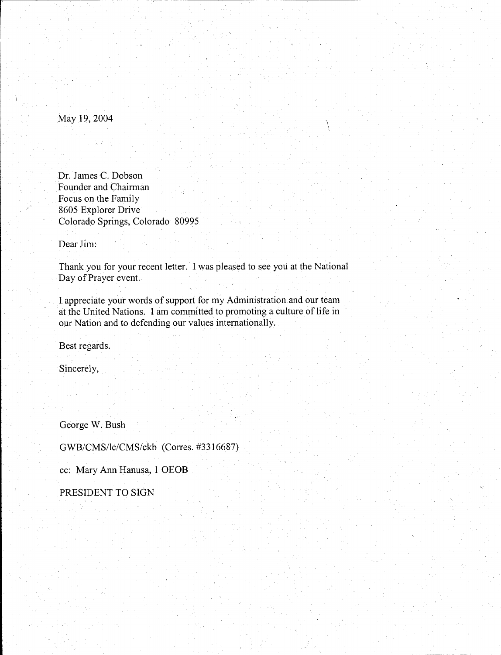May 19, 2004

 $\begin{bmatrix} 1 & 0 \\ 0 & 1 \\ 0 & 0 \end{bmatrix}$ 

Dr. James C. Dobson Founder and Chairman Focus on the Family 8605 Explorer Drive Colorado Springs, Colorado 80995

Dear Jim:

Thank you for your recent letter. I was pleased to see you at the National Day of Prayer event.

I appreciate your words of support for my Administration and our team at the United Nations. I am committed to promoting a culture of life in our Nation and to defending our values internationally.

Best regards.

Sincerely,

George W. Bush

GWB/CMS/lc/CMS/ckb (Corres. #3316687)

cc: Mary Ann Hanusa, 1 OEOB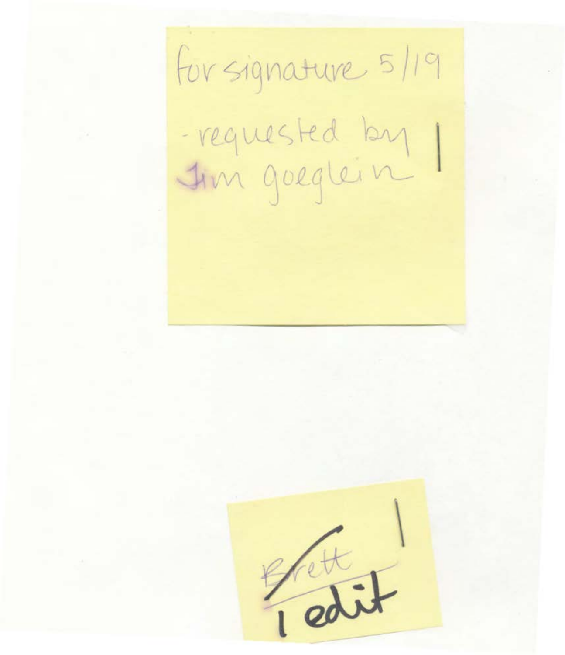for signature 5/19 requested by

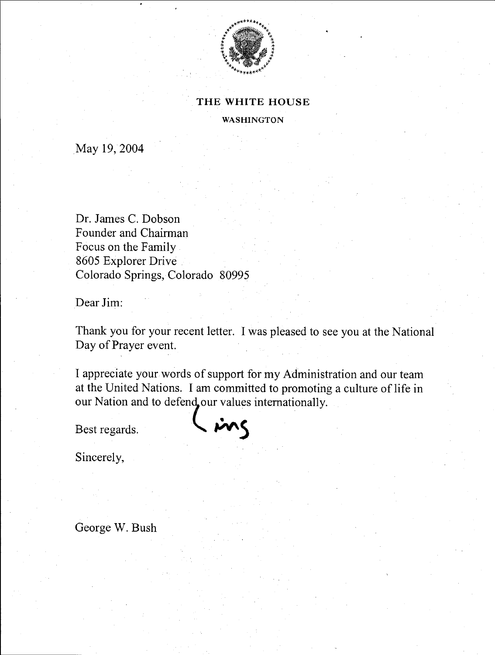

#### THE WHITE HOUSE

WASHINGTON

May 19, 2004

Dr. James C. Dobson Founder and Chairman Focus on the Family 8605 Explorer Drive Colorado Springs, Colorado 80995

Dear Jim:

Thank you for your recent letter. I was pleased to see you at the National Day of Prayer event.

I appreciate your words of support for my Administration and our team at the United Nations. I am committed to promoting a culture of life in our Nation and to defend our values internationally.

Best regards.  $\left\langle \right\rangle$   $\left\langle \right\rangle$ 

Sincerely,

George W. Bush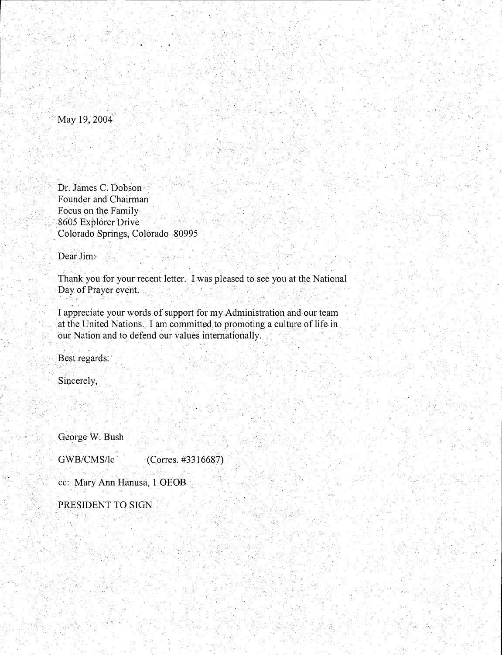. May 19, 2004

Dt. James C. Dobson Founder and Chairman Focus on the Family 8605 Explorer Drive Colorado Springs, Colorado 80995

Dear Jim:

Thank you for your recent letter. I was pleased to see you at the National Day of Prayer event.

I appreciate your words of support for my Administration and our team at the United Nations. I am committed to promoting a culture of life in our Nation and to defend our values internationally .

Best regards.

Sincerely,

George W. Bush

GWB/CMS/lc (Corres. #3316687)

cc: Mary Ann Hanusa, 1 OEOB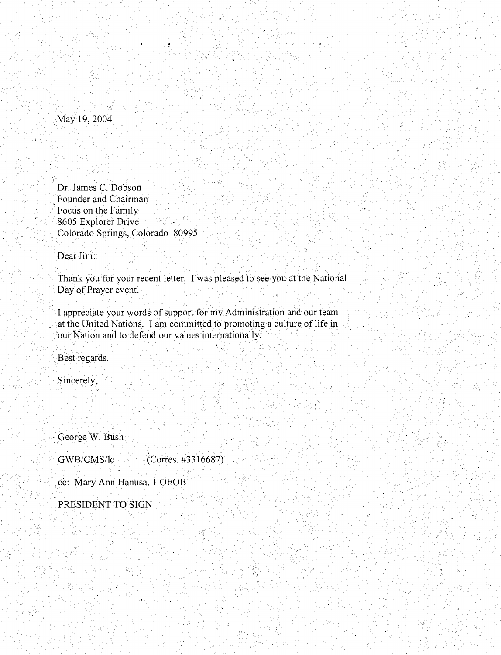May 19, 2004

Dr. James C. Dobson ·Founder and Chairman Focus on the Family 8605 Explorer Drive . Colorado Springs, Colorado 80995

2월 10일, 2021년, 10월 10일, 10월 10일, 10월 10일<br>10월 10일, 10월 10일, 10월 10일, 10월 10일, 10월 10일, 10월 10일, 10월 10일, 10월 10일, 10월 10일, 10월 10일, 10월 10일, 10월 10일, 10

Dear Jim:

Thank you for your recent letter. I was pleased to see you at the National. Day of Prayer event

. .

I appreciate your words of support for my Administration and our team at the United Nations. I am committed to promoting a culture of life in our Nation and to defend our values internationally.

Best regards.

Sincerely,

George W. Bush

GWB/CMS/lc (Corres. #3316687)

cc: Mary Ann Hanusa, 1 OEOB